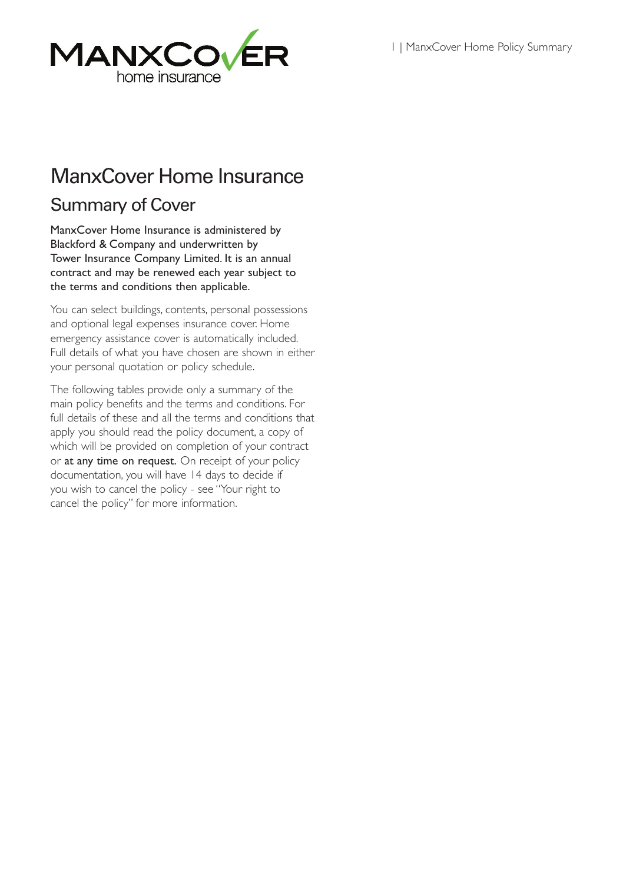

# ManxCover Home Insurance

## Summary of Cover

ManxCover Home Insurance is administered by Blackford & Company and underwritten by Tower Insurance Company Limited. It is an annual contract and may be renewed each year subject to the terms and conditions then applicable.

You can select buildings, contents, personal possessions and optional legal expenses insurance cover. Home emergency assistance cover is automatically included. Full details of what you have chosen are shown in either your personal quotation or policy schedule.

The following tables provide only a summary of the main policy benefits and the terms and conditions. For full details of these and all the terms and conditions that apply you should read the policy document, a copy of which will be provided on completion of your contract or at any time on request. On receipt of your policy documentation, you will have 14 days to decide if you wish to cancel the policy - see "Your right to cancel the policy" for more information.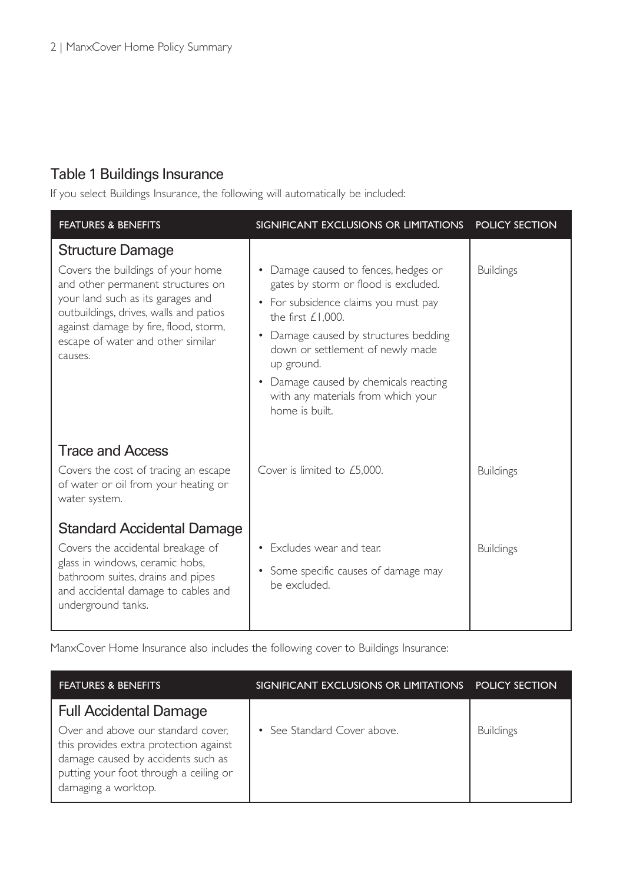#### Table 1 Buildings Insurance

If you select Buildings Insurance, the following will automatically be included:

| <b>FEATURES &amp; BENEFITS</b>                                                                                                                                                                                                                                            | SIGNIFICANT EXCLUSIONS OR LIMITATIONS                                                                                                                                                                                                                                                                                                | <b>POLICY SECTION</b> |
|---------------------------------------------------------------------------------------------------------------------------------------------------------------------------------------------------------------------------------------------------------------------------|--------------------------------------------------------------------------------------------------------------------------------------------------------------------------------------------------------------------------------------------------------------------------------------------------------------------------------------|-----------------------|
| <b>Structure Damage</b><br>Covers the buildings of your home<br>and other permanent structures on<br>your land such as its garages and<br>outbuildings, drives, walls and patios<br>against damage by fire, flood, storm,<br>escape of water and other similar<br>causes. | Damage caused to fences, hedges or<br>gates by storm or flood is excluded.<br>• For subsidence claims you must pay<br>the first $£1.000$ .<br>Damage caused by structures bedding<br>down or settlement of newly made<br>up ground.<br>• Damage caused by chemicals reacting<br>with any materials from which your<br>home is built. | <b>Buildings</b>      |
| <b>Trace and Access</b><br>Covers the cost of tracing an escape<br>of water or oil from your heating or<br>water system.                                                                                                                                                  | Cover is limited to £5,000.                                                                                                                                                                                                                                                                                                          | <b>Buildings</b>      |
| Standard Accidental Damage<br>Covers the accidental breakage of<br>glass in windows, ceramic hobs,<br>bathroom suites, drains and pipes<br>and accidental damage to cables and<br>underground tanks.                                                                      | • Excludes wear and tear.<br>• Some specific causes of damage may<br>be excluded.                                                                                                                                                                                                                                                    | <b>Buildings</b>      |

ManxCover Home Insurance also includes the following cover to Buildings Insurance:

| <b>FEATURES &amp; BENEFITS</b>                                                                                                                                                      | SIGNIFICANT EXCLUSIONS OR LIMITATIONS POLICY SECTION |                  |
|-------------------------------------------------------------------------------------------------------------------------------------------------------------------------------------|------------------------------------------------------|------------------|
| <b>Full Accidental Damage</b>                                                                                                                                                       |                                                      |                  |
| Over and above our standard cover,<br>this provides extra protection against<br>damage caused by accidents such as<br>putting your foot through a ceiling or<br>damaging a worktop. | • See Standard Cover above.                          | <b>Buildings</b> |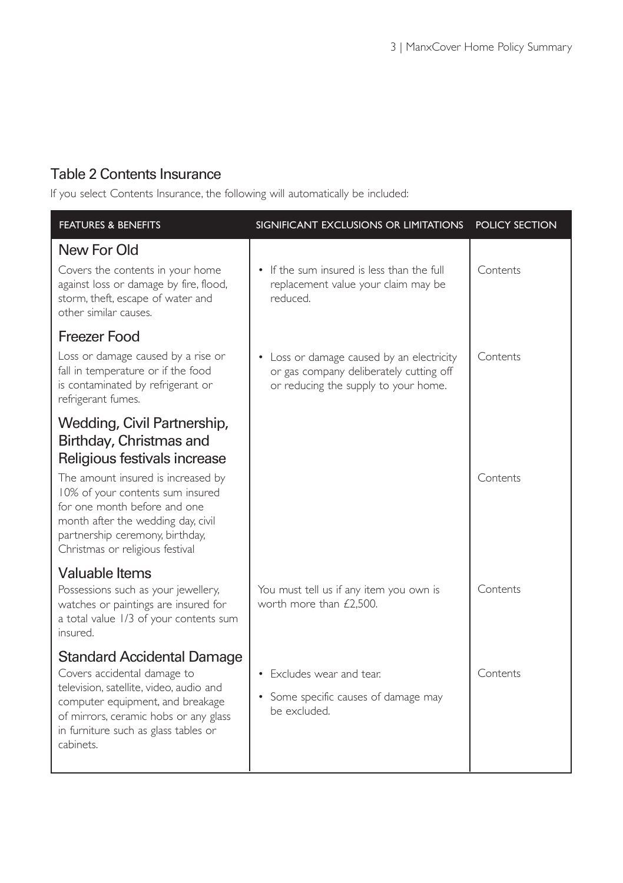#### Table 2 Contents Insurance

If you select Contents Insurance, the following will automatically be included:

| <b>FEATURES &amp; BENEFITS</b>                                                                                                                                                                                                                                                                               | SIGNIFICANT EXCLUSIONS OR LIMITATIONS                                                                                        | <b>POLICY SECTION</b> |
|--------------------------------------------------------------------------------------------------------------------------------------------------------------------------------------------------------------------------------------------------------------------------------------------------------------|------------------------------------------------------------------------------------------------------------------------------|-----------------------|
| New For Old<br>Covers the contents in your home<br>against loss or damage by fire, flood,<br>storm, theft, escape of water and<br>other similar causes.                                                                                                                                                      | • If the sum insured is less than the full<br>replacement value your claim may be<br>reduced.                                | Contents              |
| Freezer Food<br>Loss or damage caused by a rise or<br>fall in temperature or if the food<br>is contaminated by refrigerant or<br>refrigerant fumes.                                                                                                                                                          | • Loss or damage caused by an electricity<br>or gas company deliberately cutting off<br>or reducing the supply to your home. | Contents              |
| Wedding, Civil Partnership,<br>Birthday, Christmas and<br>Religious festivals increase<br>The amount insured is increased by<br>10% of your contents sum insured<br>for one month before and one<br>month after the wedding day, civil<br>partnership ceremony, birthday,<br>Christmas or religious festival |                                                                                                                              | Contents              |
| Valuable Items<br>Possessions such as your jewellery,<br>watches or paintings are insured for<br>a total value 1/3 of your contents sum<br>insured.                                                                                                                                                          | You must tell us if any item you own is<br>worth more than £2,500.                                                           | Contents              |
| <b>Standard Accidental Damage</b><br>Covers accidental damage to<br>television, satellite, video, audio and<br>computer equipment, and breakage<br>of mirrors, ceramic hobs or any glass<br>in furniture such as glass tables or<br>cabinets.                                                                | • Excludes wear and tear.<br>• Some specific causes of damage may<br>be excluded.                                            | Contents              |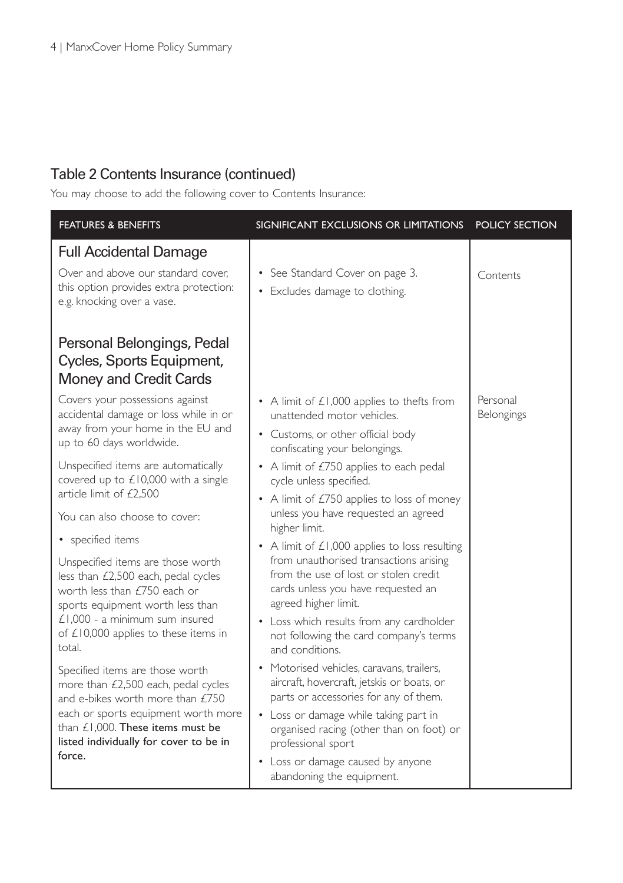#### Table 2 Contents Insurance (continued)

You may choose to add the following cover to Contents Insurance:

| <b>FEATURES &amp; BENEFITS</b>                                                                                                                                                                                                               | SIGNIFICANT EXCLUSIONS OR LIMITATIONS                                                                                                                                                                                                                                                                          | <b>POLICY SECTION</b>  |
|----------------------------------------------------------------------------------------------------------------------------------------------------------------------------------------------------------------------------------------------|----------------------------------------------------------------------------------------------------------------------------------------------------------------------------------------------------------------------------------------------------------------------------------------------------------------|------------------------|
| <b>Full Accidental Damage</b><br>Over and above our standard cover,<br>this option provides extra protection:<br>e.g. knocking over a vase.                                                                                                  | • See Standard Cover on page 3.<br>• Excludes damage to clothing.                                                                                                                                                                                                                                              | Contents               |
| Personal Belongings, Pedal<br>Cycles, Sports Equipment,<br>Money and Credit Cards                                                                                                                                                            |                                                                                                                                                                                                                                                                                                                |                        |
| Covers your possessions against<br>accidental damage or loss while in or<br>away from your home in the EU and<br>up to 60 days worldwide.                                                                                                    | • A limit of £1,000 applies to thefts from<br>unattended motor vehicles.<br>• Customs, or other official body<br>confiscating your belongings.                                                                                                                                                                 | Personal<br>Belongings |
| Unspecified items are automatically<br>covered up to $£10,000$ with a single<br>article limit of £2,500<br>You can also choose to cover:<br>• specified items<br>Unspecified items are those worth<br>less than £2,500 each, pedal cycles    | • A limit of £750 applies to each pedal<br>cycle unless specified.<br>• A limit of £750 applies to loss of money<br>unless you have requested an agreed<br>higher limit.<br>• A limit of $£1,000$ applies to loss resulting<br>from unauthorised transactions arising<br>from the use of lost or stolen credit |                        |
| worth less than £750 each or<br>sports equipment worth less than<br>$£1,000 - a$ minimum sum insured<br>of £10,000 applies to these items in<br>total.                                                                                       | cards unless you have requested an<br>agreed higher limit.<br>• Loss which results from any cardholder<br>not following the card company's terms<br>and conditions.                                                                                                                                            |                        |
| Specified items are those worth<br>more than £2,500 each, pedal cycles<br>and e-bikes worth more than £750<br>each or sports equipment worth more<br>than $£1.000$ . These items must be<br>listed individually for cover to be in<br>force. | • Motorised vehicles, caravans, trailers,<br>aircraft, hovercraft, jetskis or boats, or<br>parts or accessories for any of them.<br>• Loss or damage while taking part in<br>organised racing (other than on foot) or<br>professional sport<br>• Loss or damage caused by anyone                               |                        |
|                                                                                                                                                                                                                                              | abandoning the equipment.                                                                                                                                                                                                                                                                                      |                        |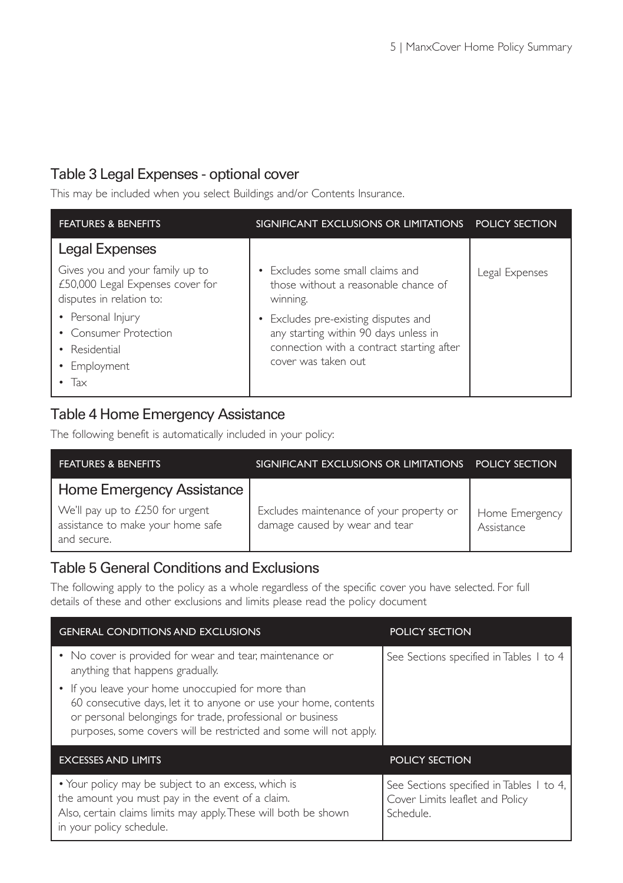#### Table 3 Legal Expenses - optional cover

This may be included when you select Buildings and/or Contents Insurance.

| <b>FEATURES &amp; BENEFITS</b>                                                                  | SIGNIFICANT EXCLUSIONS OR LIMITATIONS POLICY SECTION                                                                                              |                |
|-------------------------------------------------------------------------------------------------|---------------------------------------------------------------------------------------------------------------------------------------------------|----------------|
| Legal Expenses                                                                                  |                                                                                                                                                   |                |
| Gives you and your family up to<br>£50,000 Legal Expenses cover for<br>disputes in relation to: | • Excludes some small claims and<br>those without a reasonable chance of<br>winning.                                                              | Legal Expenses |
| • Personal Injury<br>• Consumer Protection<br>• Residential<br>• Employment<br>Tax              | • Excludes pre-existing disputes and<br>any starting within 90 days unless in<br>connection with a contract starting after<br>cover was taken out |                |

#### Table 4 Home Emergency Assistance

The following benefit is automatically included in your policy:

| <b>FEATURES &amp; BENEFITS</b>                                                      | SIGNIFICANT EXCLUSIONS OR LIMITATIONS POLICY SECTION                       |                              |
|-------------------------------------------------------------------------------------|----------------------------------------------------------------------------|------------------------------|
| Home Emergency Assistance                                                           |                                                                            |                              |
| We'll pay up to £250 for urgent<br>assistance to make your home safe<br>and secure. | Excludes maintenance of your property or<br>damage caused by wear and tear | Home Emergency<br>Assistance |

#### Table 5 General Conditions and Exclusions

The following apply to the policy as a whole regardless of the specific cover you have selected. For full details of these and other exclusions and limits please read the policy document

| <b>GENERAL CONDITIONS AND EXCLUSIONS</b>                                                                                                                                                                                                                 | POLICY SECTION                                                                           |
|----------------------------------------------------------------------------------------------------------------------------------------------------------------------------------------------------------------------------------------------------------|------------------------------------------------------------------------------------------|
| • No cover is provided for wear and tear, maintenance or<br>anything that happens gradually.                                                                                                                                                             | See Sections specified in Tables 1 to 4                                                  |
| • If you leave your home unoccupied for more than<br>60 consecutive days, let it to anyone or use your home, contents<br>or personal belongings for trade, professional or business<br>purposes, some covers will be restricted and some will not apply. |                                                                                          |
| <b>EXCESSES AND LIMITS</b>                                                                                                                                                                                                                               | <b>POLICY SECTION</b>                                                                    |
| • Your policy may be subject to an excess, which is<br>the amount you must pay in the event of a claim.<br>Also, certain claims limits may apply. These will both be shown<br>in your policy schedule.                                                   | See Sections specified in Tables 1 to 4,<br>Cover Limits leaflet and Policy<br>Schedule. |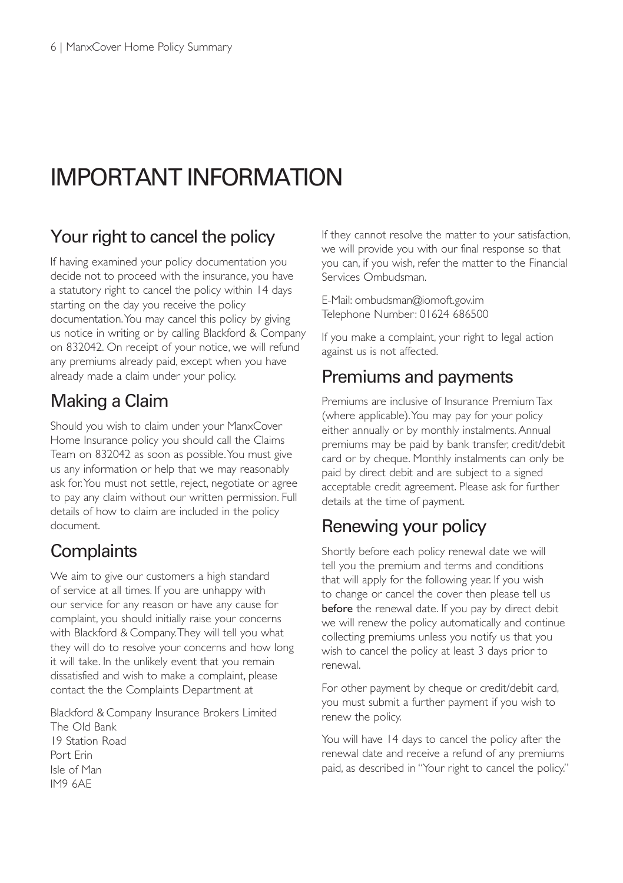# IMPORTANT INFORMATION

### Your right to cancel the policy

If having examined your policy documentation you decide not to proceed with the insurance, you have a statutory right to cancel the policy within 14 days starting on the day you receive the policy documentation.You may cancel this policy by giving us notice in writing or by calling Blackford & Company on 832042. On receipt of your notice, we will refund any premiums already paid, except when you have already made a claim under your policy.

## Making a Claim

Should you wish to claim under your ManxCover Home Insurance policy you should call the Claims Team on 832042 as soon as possible.You must give us any information or help that we may reasonably ask for.You must not settle, reject, negotiate or agree to pay any claim without our written permission. Full details of how to claim are included in the policy document.

## **Complaints**

We aim to give our customers a high standard of service at all times. If you are unhappy with our service for any reason or have any cause for complaint, you should initially raise your concerns with Blackford & Company.They will tell you what they will do to resolve your concerns and how long it will take. In the unlikely event that you remain dissatisfied and wish to make a complaint, please contact the the Complaints Department at

Blackford & Company Insurance Brokers Limited The Old Bank 19 Station Road Port Erin Isle of Man IM9 6AE

If they cannot resolve the matter to your satisfaction, we will provide you with our final response so that you can, if you wish, refer the matter to the Financial Services Ombudsman.

E-Mail: ombudsman@iomoft.gov.im Telephone Number: 01624 686500

If you make a complaint, your right to legal action against us is not affected.

#### Premiums and payments

Premiums are inclusive of Insurance Premium Tax (where applicable).You may pay for your policy either annually or by monthly instalments. Annual premiums may be paid by bank transfer, credit/debit card or by cheque. Monthly instalments can only be paid by direct debit and are subject to a signed acceptable credit agreement. Please ask for further details at the time of payment.

## Renewing your policy

Shortly before each policy renewal date we will tell you the premium and terms and conditions that will apply for the following year. If you wish to change or cancel the cover then please tell us before the renewal date. If you pay by direct debit we will renew the policy automatically and continue collecting premiums unless you notify us that you wish to cancel the policy at least 3 days prior to renewal.

For other payment by cheque or credit/debit card, you must submit a further payment if you wish to renew the policy.

You will have 14 days to cancel the policy after the renewal date and receive a refund of any premiums paid, as described in "Your right to cancel the policy."